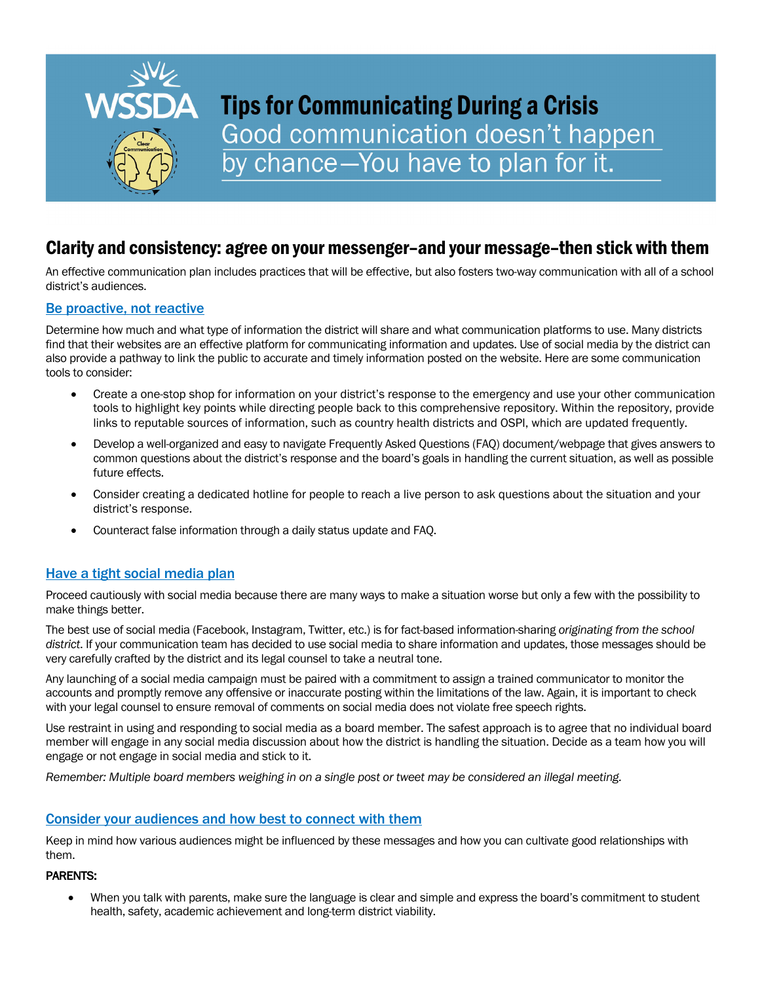

# **Tips for Communicating During a Crisis** Good communication doesn't happen by chance-You have to plan for it.

# Clarity and consistency: agree on your messenger–and your message–then stick with them

An effective communication plan includes practices that will be effective, but also fosters two-way communication with all of a school district's audiences.

# Be proactive, not reactive

Determine how much and what type of information the district will share and what communication platforms to use. Many districts find that their websites are an effective platform for communicating information and updates. Use of social media by the district can also provide a pathway to link the public to accurate and timely information posted on the website. Here are some communication tools to consider:

- Create a one-stop shop for information on your district's response to the emergency and use your other communication tools to highlight key points while directing people back to this comprehensive repository. Within the repository, provide links to reputable sources of information, such as country health districts and OSPI, which are updated frequently.
- Develop a well-organized and easy to navigate Frequently Asked Questions (FAQ) document/webpage that gives answers to common questions about the district's response and the board's goals in handling the current situation, as well as possible future effects.
- Consider creating a dedicated hotline for people to reach a live person to ask questions about the situation and your district's response.
- Counteract false information through a daily status update and FAQ.

# Have a tight social media plan

Proceed cautiously with social media because there are many ways to make a situation worse but only a few with the possibility to make things better.

The best use of social media (Facebook, Instagram, Twitter, etc.) is for fact-based information-sharing *originating from the school district*. If your communication team has decided to use social media to share information and updates, those messages should be very carefully crafted by the district and its legal counsel to take a neutral tone.

Any launching of a social media campaign must be paired with a commitment to assign a trained communicator to monitor the accounts and promptly remove any offensive or inaccurate posting within the limitations of the law. Again, it is important to check with your legal counsel to ensure removal of comments on social media does not violate free speech rights.

Use restraint in using and responding to social media as a board member. The safest approach is to agree that no individual board member will engage in any social media discussion about how the district is handling the situation. Decide as a team how you will engage or not engage in social media and stick to it.

*Remember: Multiple board members weighing in on a single post or tweet may be considered an illegal meeting.*

# Consider your audiences and how best to connect with them

Keep in mind how various audiences might be influenced by these messages and how you can cultivate good relationships with them.

#### PARENTS:

• When you talk with parents, make sure the language is clear and simple and express the board's commitment to student health, safety, academic achievement and long-term district viability.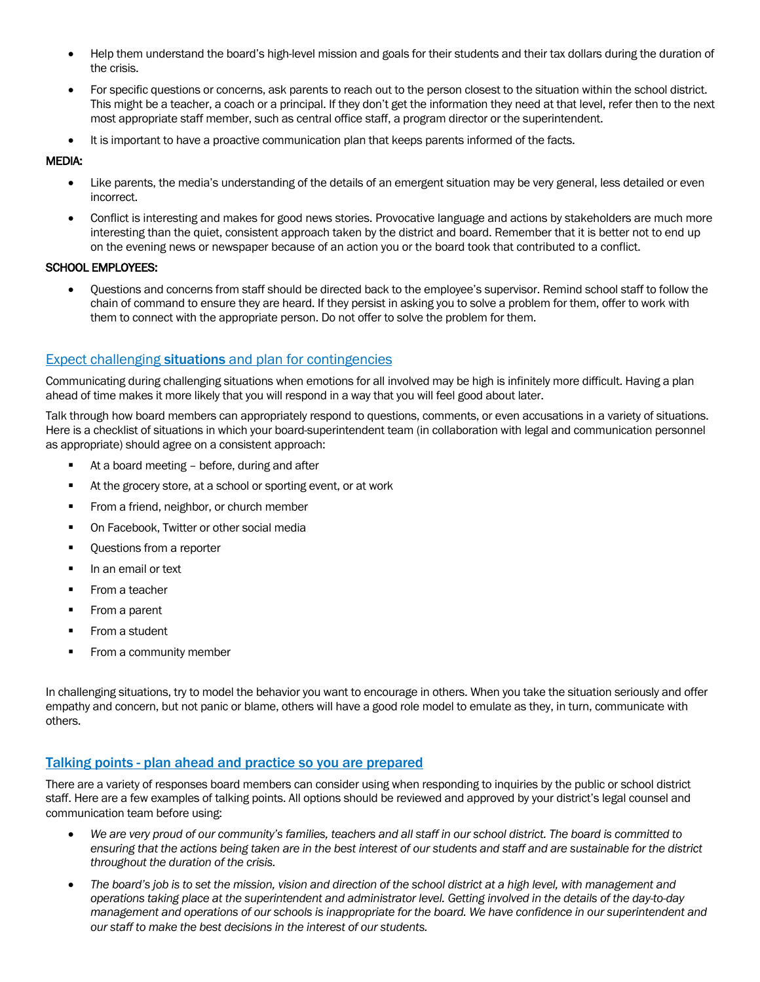- Help them understand the board's high-level mission and goals for their students and their tax dollars during the duration of the crisis.
- For specific questions or concerns, ask parents to reach out to the person closest to the situation within the school district. This might be a teacher, a coach or a principal. If they don't get the information they need at that level, refer then to the next most appropriate staff member, such as central office staff, a program director or the superintendent.
- It is important to have a proactive communication plan that keeps parents informed of the facts.

#### MEDIA:

- Like parents, the media's understanding of the details of an emergent situation may be very general, less detailed or even incorrect.
- Conflict is interesting and makes for good news stories. Provocative language and actions by stakeholders are much more interesting than the quiet, consistent approach taken by the district and board. Remember that it is better not to end up on the evening news or newspaper because of an action you or the board took that contributed to a conflict.

#### SCHOOL EMPLOYEES:

• Questions and concerns from staff should be directed back to the employee's supervisor. Remind school staff to follow the chain of command to ensure they are heard. If they persist in asking you to solve a problem for them, offer to work with them to connect with the appropriate person. Do not offer to solve the problem for them.

# **Expect challenging situations** and plan for contingencies

Communicating during challenging situations when emotions for all involved may be high is infinitely more difficult. Having a plan ahead of time makes it more likely that you will respond in a way that you will feel good about later.

Talk through how board members can appropriately respond to questions, comments, or even accusations in a variety of situations. Here is a checklist of situations in which your board-superintendent team (in collaboration with legal and communication personnel as appropriate) should agree on a consistent approach:

- At a board meeting before, during and after
- At the grocery store, at a school or sporting event, or at work
- § From a friend, neighbor, or church member
- § On Facebook, Twitter or other social media
- § Questions from a reporter
- § In an email or text
- § From a teacher
- § From a parent
- From a student
- From a community member

In challenging situations, try to model the behavior you want to encourage in others. When you take the situation seriously and offer empathy and concern, but not panic or blame, others will have a good role model to emulate as they, in turn, communicate with others.

# Talking points - plan ahead and practice so you are prepared

There are a variety of responses board members can consider using when responding to inquiries by the public or school district staff. Here are a few examples of talking points. All options should be reviewed and approved by your district's legal counsel and communication team before using:

- *We are very proud of our community's families, teachers and all staff in our school district. The board is committed to ensuring that the actions being taken are in the best interest of our students and staff and are sustainable for the district throughout the duration of the crisis.*
- *The board's job is to set the mission, vision and direction of the school district at a high level, with management and operations taking place at the superintendent and administrator level. Getting involved in the details of the day-to-day management and operations of our schools is inappropriate for the board. We have confidence in our superintendent and our staff to make the best decisions in the interest of our students.*